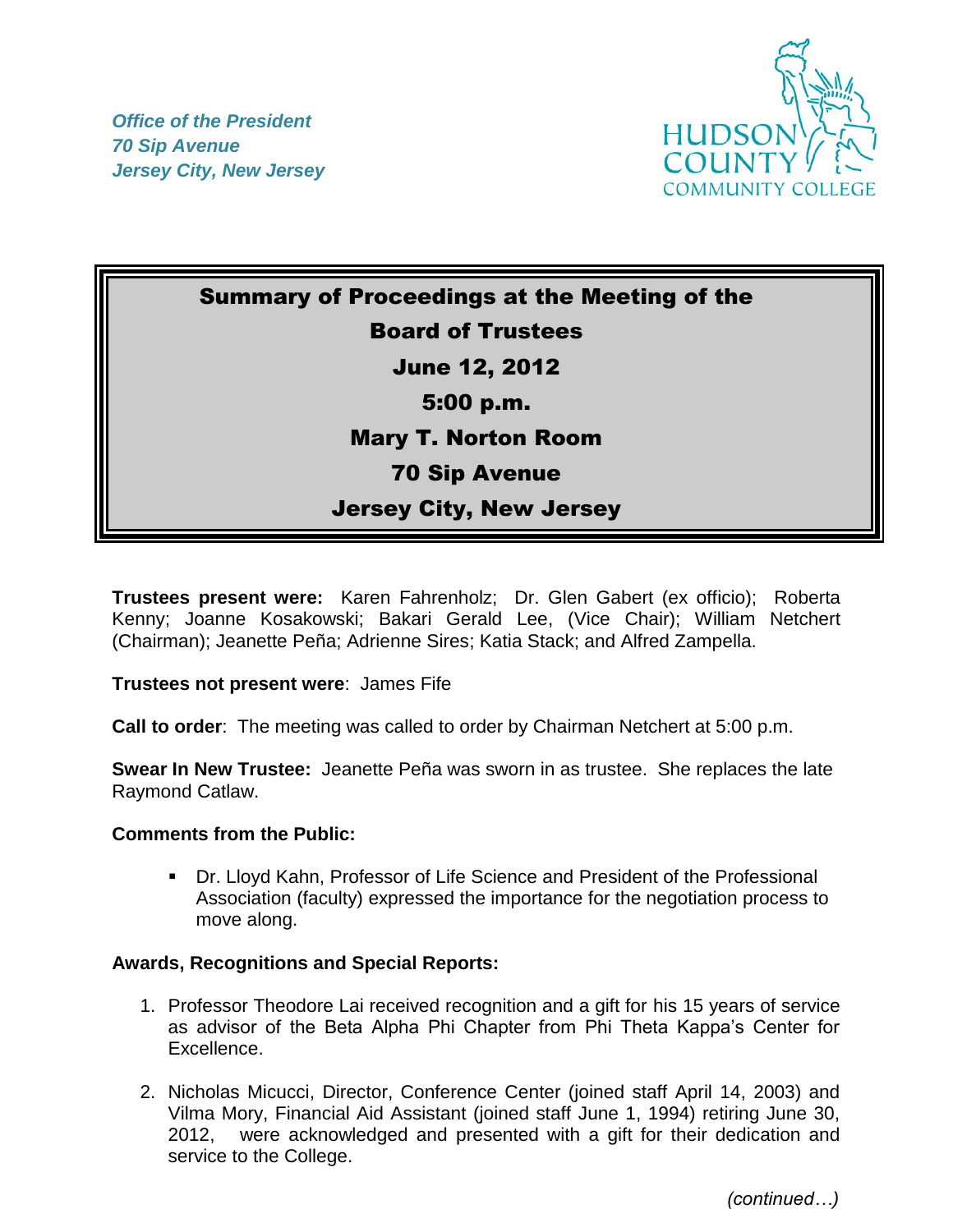*Office of the President 70 Sip Avenue Jersey City, New Jersey*



Summary of Proceedings at the Meeting of the Board of Trustees June 12, 2012 5:00 p.m. Mary T. Norton Room 70 Sip Avenue Jersey City, New Jersey

**Trustees present were:** Karen Fahrenholz; Dr. Glen Gabert (ex officio); Roberta Kenny; Joanne Kosakowski; Bakari Gerald Lee, (Vice Chair); William Netchert (Chairman); Jeanette Peña; Adrienne Sires; Katia Stack; and Alfred Zampella.

**Trustees not present were**: James Fife

**Call to order**: The meeting was called to order by Chairman Netchert at 5:00 p.m.

**Swear In New Trustee:** Jeanette Peña was sworn in as trustee. She replaces the late Raymond Catlaw.

## **Comments from the Public:**

 Dr. Lloyd Kahn, Professor of Life Science and President of the Professional Association (faculty) expressed the importance for the negotiation process to move along.

## **Awards, Recognitions and Special Reports:**

- 1. Professor Theodore Lai received recognition and a gift for his 15 years of service as advisor of the Beta Alpha Phi Chapter from Phi Theta Kappa's Center for Excellence.
- 2. Nicholas Micucci, Director, Conference Center (joined staff April 14, 2003) and Vilma Mory, Financial Aid Assistant (joined staff June 1, 1994) retiring June 30, 2012, were acknowledged and presented with a gift for their dedication and service to the College.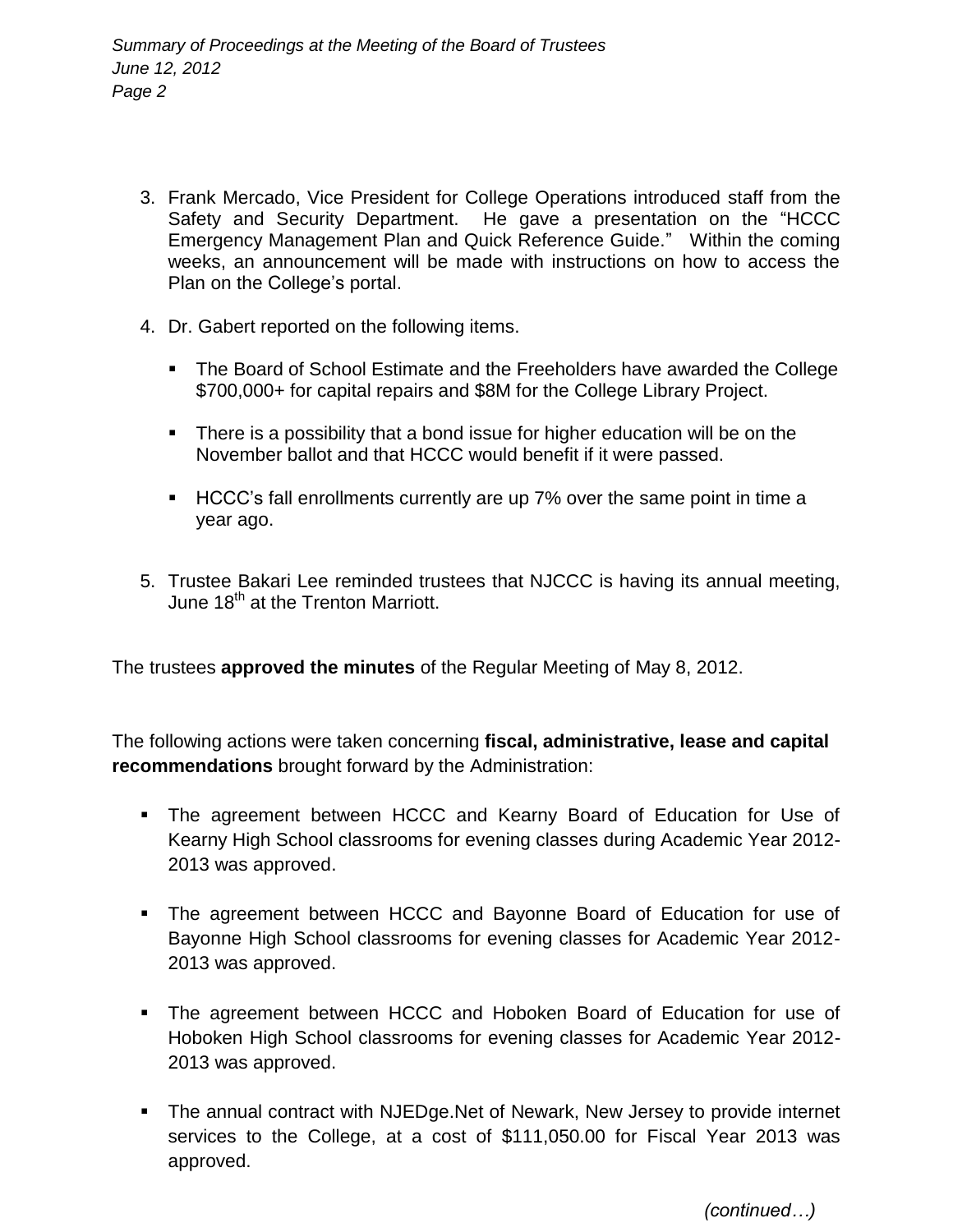- 3. Frank Mercado, Vice President for College Operations introduced staff from the Safety and Security Department. He gave a presentation on the "HCCC Emergency Management Plan and Quick Reference Guide." Within the coming weeks, an announcement will be made with instructions on how to access the Plan on the College's portal.
- 4. Dr. Gabert reported on the following items.
	- The Board of School Estimate and the Freeholders have awarded the College \$700,000+ for capital repairs and \$8M for the College Library Project.
	- There is a possibility that a bond issue for higher education will be on the November ballot and that HCCC would benefit if it were passed.
	- HCCC's fall enrollments currently are up 7% over the same point in time a year ago.
- 5. Trustee Bakari Lee reminded trustees that NJCCC is having its annual meeting, June 18<sup>th</sup> at the Trenton Marriott.

The trustees **approved the minutes** of the Regular Meeting of May 8, 2012.

The following actions were taken concerning **fiscal, administrative, lease and capital recommendations** brought forward by the Administration:

- **The agreement between HCCC and Kearny Board of Education for Use of** Kearny High School classrooms for evening classes during Academic Year 2012- 2013 was approved.
- The agreement between HCCC and Bayonne Board of Education for use of Bayonne High School classrooms for evening classes for Academic Year 2012- 2013 was approved.
- The agreement between HCCC and Hoboken Board of Education for use of Hoboken High School classrooms for evening classes for Academic Year 2012- 2013 was approved.
- The annual contract with NJEDge.Net of Newark, New Jersey to provide internet services to the College, at a cost of \$111,050.00 for Fiscal Year 2013 was approved.

 *(continued…)*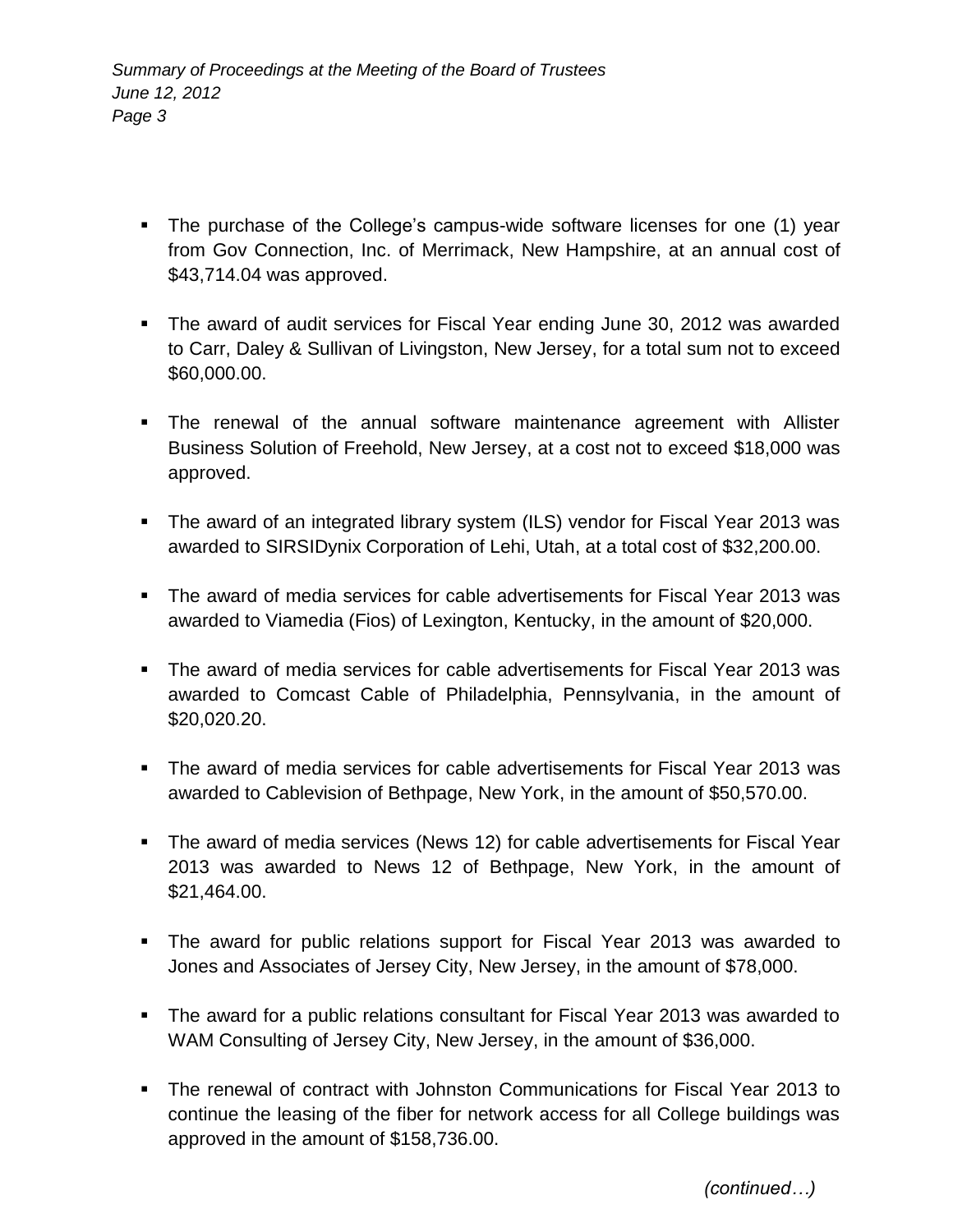- The purchase of the College's campus-wide software licenses for one (1) year from Gov Connection, Inc. of Merrimack, New Hampshire, at an annual cost of \$43,714.04 was approved.
- The award of audit services for Fiscal Year ending June 30, 2012 was awarded to Carr, Daley & Sullivan of Livingston, New Jersey, for a total sum not to exceed \$60,000.00.
- The renewal of the annual software maintenance agreement with Allister Business Solution of Freehold, New Jersey, at a cost not to exceed \$18,000 was approved.
- The award of an integrated library system (ILS) vendor for Fiscal Year 2013 was awarded to SIRSIDynix Corporation of Lehi, Utah, at a total cost of \$32,200.00.
- The award of media services for cable advertisements for Fiscal Year 2013 was awarded to Viamedia (Fios) of Lexington, Kentucky, in the amount of \$20,000.
- The award of media services for cable advertisements for Fiscal Year 2013 was awarded to Comcast Cable of Philadelphia, Pennsylvania, in the amount of \$20,020.20.
- The award of media services for cable advertisements for Fiscal Year 2013 was awarded to Cablevision of Bethpage, New York, in the amount of \$50,570.00.
- The award of media services (News 12) for cable advertisements for Fiscal Year 2013 was awarded to News 12 of Bethpage, New York, in the amount of \$21,464.00.
- The award for public relations support for Fiscal Year 2013 was awarded to Jones and Associates of Jersey City, New Jersey, in the amount of \$78,000.
- The award for a public relations consultant for Fiscal Year 2013 was awarded to WAM Consulting of Jersey City, New Jersey, in the amount of \$36,000.
- The renewal of contract with Johnston Communications for Fiscal Year 2013 to continue the leasing of the fiber for network access for all College buildings was approved in the amount of \$158,736.00.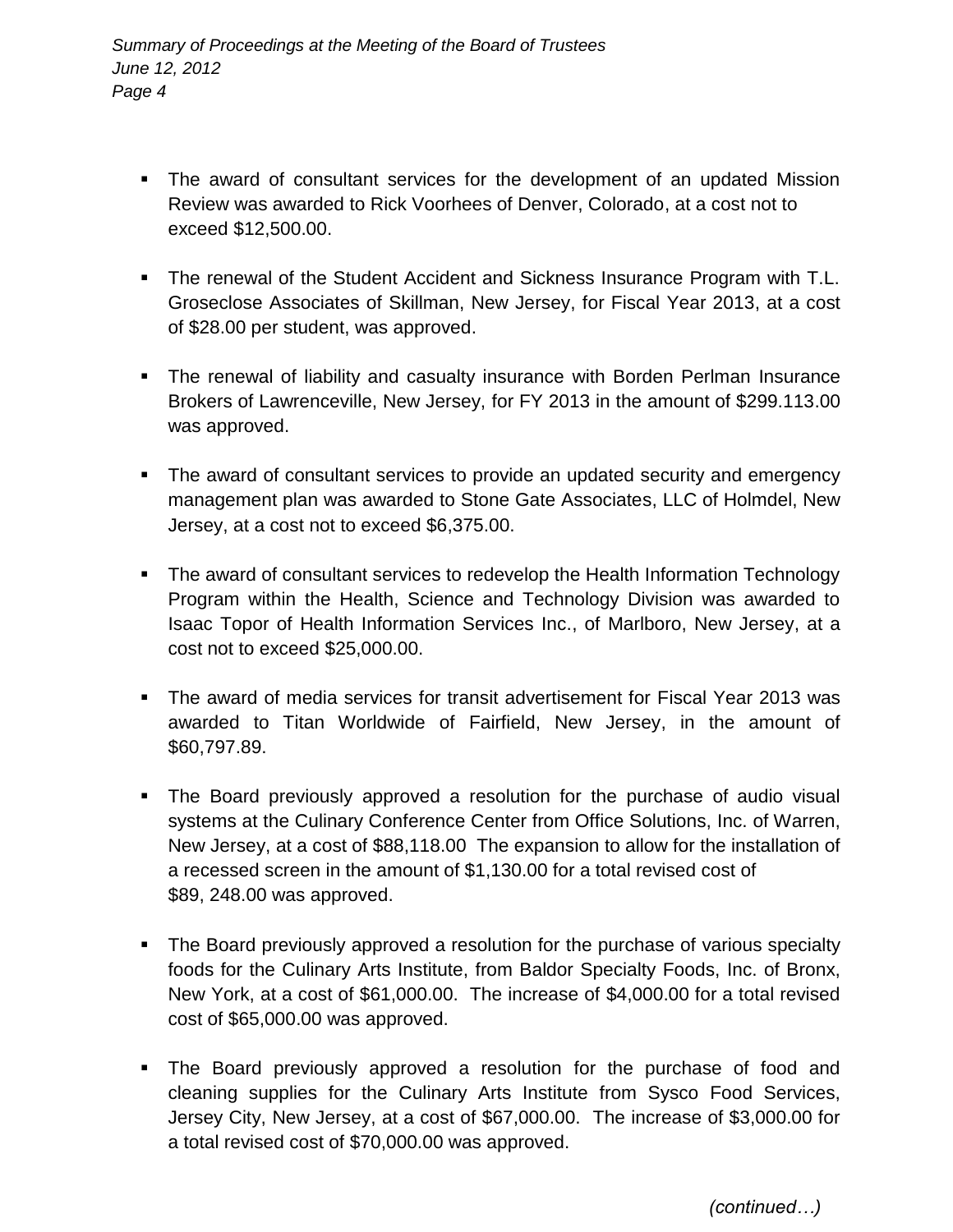- The award of consultant services for the development of an updated Mission Review was awarded to Rick Voorhees of Denver, Colorado, at a cost not to exceed \$12,500.00.
- The renewal of the Student Accident and Sickness Insurance Program with T.L. Groseclose Associates of Skillman, New Jersey, for Fiscal Year 2013, at a cost of \$28.00 per student, was approved.
- The renewal of liability and casualty insurance with Borden Perlman Insurance Brokers of Lawrenceville, New Jersey, for FY 2013 in the amount of \$299.113.00 was approved.
- The award of consultant services to provide an updated security and emergency management plan was awarded to Stone Gate Associates, LLC of Holmdel, New Jersey, at a cost not to exceed \$6,375.00.
- The award of consultant services to redevelop the Health Information Technology Program within the Health, Science and Technology Division was awarded to Isaac Topor of Health Information Services Inc., of Marlboro, New Jersey, at a cost not to exceed \$25,000.00.
- The award of media services for transit advertisement for Fiscal Year 2013 was awarded to Titan Worldwide of Fairfield, New Jersey, in the amount of \$60,797.89.
- The Board previously approved a resolution for the purchase of audio visual systems at the Culinary Conference Center from Office Solutions, Inc. of Warren, New Jersey, at a cost of \$88,118.00 The expansion to allow for the installation of a recessed screen in the amount of \$1,130.00 for a total revised cost of \$89, 248.00 was approved.
- The Board previously approved a resolution for the purchase of various specialty foods for the Culinary Arts Institute, from Baldor Specialty Foods, Inc. of Bronx, New York, at a cost of \$61,000.00. The increase of \$4,000.00 for a total revised cost of \$65,000.00 was approved.
- The Board previously approved a resolution for the purchase of food and cleaning supplies for the Culinary Arts Institute from Sysco Food Services, Jersey City, New Jersey, at a cost of \$67,000.00. The increase of \$3,000.00 for a total revised cost of \$70,000.00 was approved.

 *(continued…)*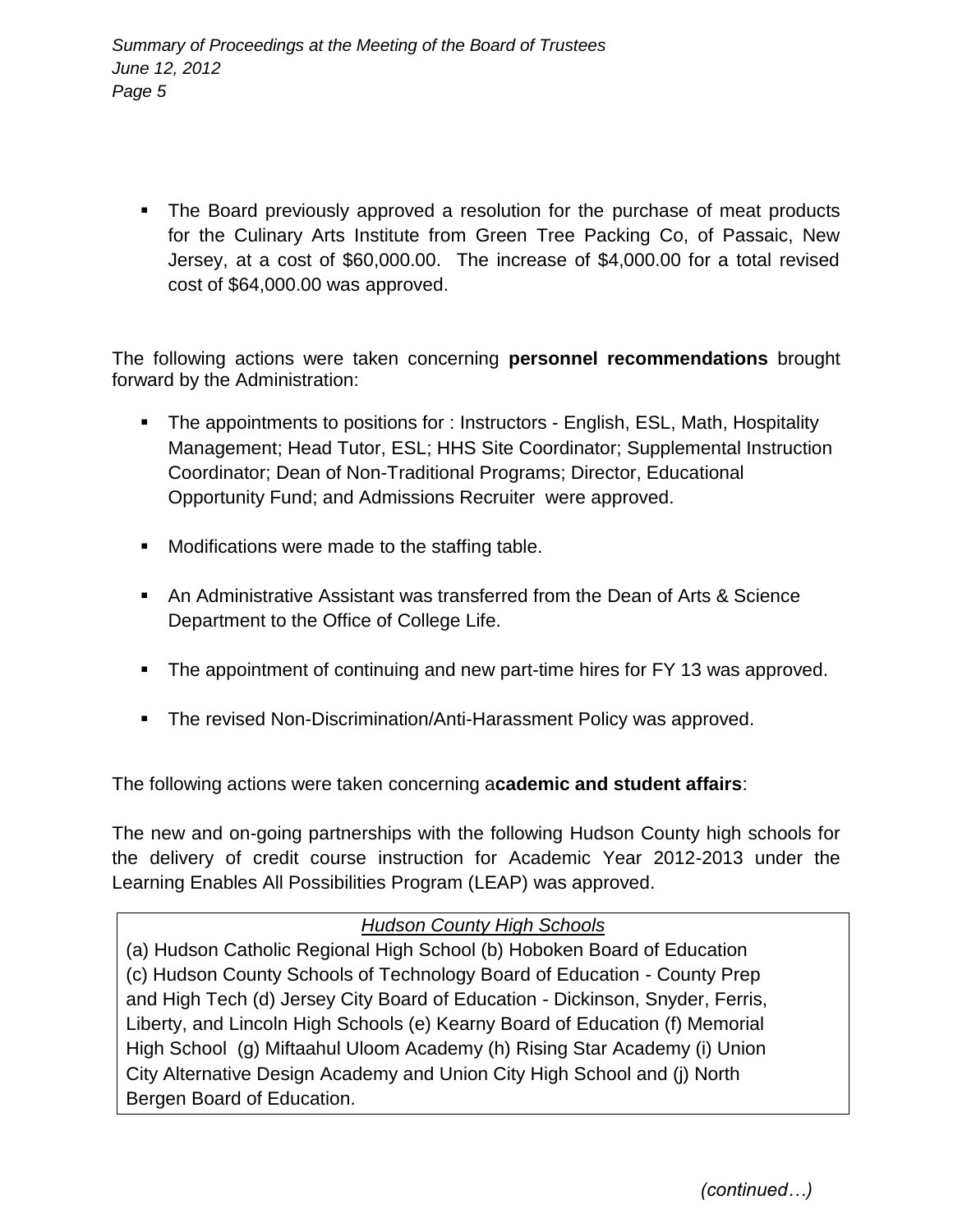• The Board previously approved a resolution for the purchase of meat products for the Culinary Arts Institute from Green Tree Packing Co, of Passaic, New Jersey, at a cost of \$60,000.00. The increase of \$4,000.00 for a total revised cost of \$64,000.00 was approved.

The following actions were taken concerning **personnel recommendations** brought forward by the Administration:

- The appointments to positions for : Instructors English, ESL, Math, Hospitality Management; Head Tutor, ESL; HHS Site Coordinator; Supplemental Instruction Coordinator; Dean of Non-Traditional Programs; Director, Educational Opportunity Fund; and Admissions Recruiter were approved.
- **Modifications were made to the staffing table.**
- An Administrative Assistant was transferred from the Dean of Arts & Science Department to the Office of College Life.
- **The appointment of continuing and new part-time hires for FY 13 was approved.**
- **The revised Non-Discrimination/Anti-Harassment Policy was approved.**

The following actions were taken concerning a**cademic and student affairs**:

The new and on-going partnerships with the following Hudson County high schools for the delivery of credit course instruction for Academic Year 2012-2013 under the Learning Enables All Possibilities Program (LEAP) was approved.

## *Hudson County High Schools*

(a) Hudson Catholic Regional High School (b) Hoboken Board of Education (c) Hudson County Schools of Technology Board of Education - County Prep and High Tech (d) Jersey City Board of Education - Dickinson, Snyder, Ferris, Liberty, and Lincoln High Schools (e) Kearny Board of Education (f) Memorial High School (g) Miftaahul Uloom Academy (h) Rising Star Academy (i) Union City Alternative Design Academy and Union City High School and (j) North Bergen Board of Education.